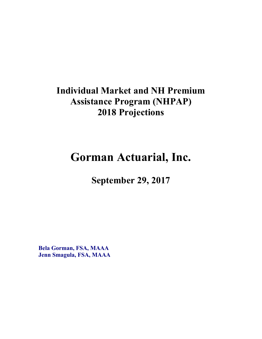## **Individual Market and NH Premium Assistance Program (NHPAP) 2018 Projections**

# **Gorman Actuarial, Inc.**

**September 29, 2017** 

**Bela Gorman, FSA, MAAA Jenn Smagula, FSA, MAAA**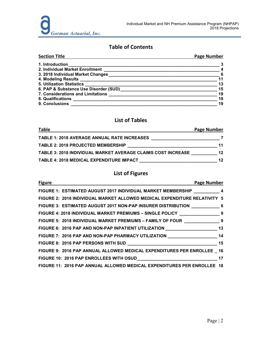### **Table of Contents**

| <b>Section Title</b>                        | <b>Page Number</b>         |
|---------------------------------------------|----------------------------|
| 1. Introduction                             |                            |
| 2. Individual Market Enrollment             | $\overline{\phantom{a}}$   |
| 3. 2018 Individual Market Changes           | $\overline{\phantom{0}}$ 6 |
|                                             | 11                         |
| 5. Utilization Statistics _________________ | 13                         |
| 6. PAP & Substance Use Disorder (SUD)       | 15                         |
|                                             | 19                         |
|                                             | 19                         |
| 9. Conclusions                              | 19                         |

#### **List of Tables**

| <b>Table</b>                                                        | Page Number      |
|---------------------------------------------------------------------|------------------|
| <b>TABLE 1: 2018 AVERAGE ANNUAL RATE INCREASES</b>                  |                  |
| <b>TABLE 2: 2018 PROJECTED MEMBERSHIP</b>                           | 11               |
| <b>TABLE 3: 2018 INDIVIDUAL MARKET AVERAGE CLAIMS COST INCREASE</b> | 12 <sup>1</sup>  |
| TABLE 4: 2018 MEDICAL EXPENDITURE IMPACT                            | 12 <sup>12</sup> |

### **List of Figures**

| <b>Figure</b><br><b>Page Number</b>                                                 |  |
|-------------------------------------------------------------------------------------|--|
| FIGURE 1: ESTIMATED AUGUST 2017 INDIVIDUAL MARKET MEMBERSHIP __________ 4           |  |
| FIGURE 2: 2016 INDIVIDUAL MARKET ALLOWED MEDICAL EXPENDITURE RELATIVITY 5           |  |
| FIGURE 3: ESTIMATED AUGUST 2017 NON-PAP INSURER DISTRIBUTION ______________ 6       |  |
| FIGURE 4: 2018 INDIVIDUAL MARKET PREMIUMS - SINGLE POLICY _______________________ 9 |  |
| FIGURE 5: 2018 INDIVIDUAL MARKET PREMIUMS - FAMILY OF FOUR _________________9       |  |
| FIGURE 6: 2016 PAP AND NON-PAP INPATIENT UTILIZATION ___________________________13  |  |
| FIGURE 7: 2016 PAP AND NON-PAP PHARMACY UTILIZATION _________________________14     |  |
|                                                                                     |  |
| FIGURE 9: 2016 PAP ANNUAL ALLOWED MEDICAL EXPENDITURES PER ENROLLEE 16              |  |
|                                                                                     |  |
| FIGURE 11: 2016 PAP ANNUAL ALLOWED MEDICAL EXPENDITURES PER ENROLLEE 18             |  |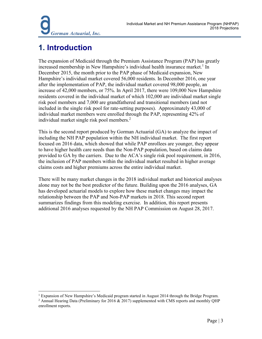## **1. Introduction**

The expansion of Medicaid through the Premium Assistance Program (PAP) has greatly increased membership in New Hampshire's individual health insurance market.<sup>1</sup> In December 2015, the month prior to the PAP phase of Medicaid expansion, New Hampshire's individual market covered 56,000 residents. In December 2016, one year after the implementation of PAP, the individual market covered 98,000 people, an increase of 42,000 members, or 75%. In April 2017, there were 109,000 New Hampshire residents covered in the individual market of which 102,000 are individual market single risk pool members and 7,000 are grandfathered and transitional members (and not included in the single risk pool for rate-setting purposes). Approximately 43,000 of individual market members were enrolled through the PAP, representing 42% of individual market single risk pool members.<sup>2</sup>

This is the second report produced by Gorman Actuarial (GA) to analyze the impact of including the NH PAP population within the NH individual market. The first report focused on 2016 data, which showed that while PAP enrollees are younger, they appear to have higher health care needs than the Non-PAP population, based on claims data provided to GA by the carriers. Due to the ACA's single risk pool requirement, in 2016, the inclusion of PAP members within the individual market resulted in higher average claims costs and higher premiums across the entire individual market.

There will be many market changes in the 2018 individual market and historical analyses alone may not be the best predictor of the future. Building upon the 2016 analyses, GA has developed actuarial models to explore how these market changes may impact the relationship between the PAP and Non-PAP markets in 2018. This second report summarizes findings from this modeling exercise. In addition, this report presents additional 2016 analyses requested by the NH PAP Commission on August 28, 2017.

 $\overline{a}$ <sup>1</sup> Expansion of New Hampshire's Medicaid program started in August 2014 through the Bridge Program.

<sup>&</sup>lt;sup>2</sup> Annual Hearing Data (Preliminary for 2016  $\&$  2017) supplemented with CMS reports and monthly QHP enrollment reports.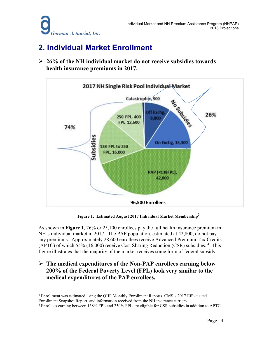### **2. Individual Market Enrollment**

 **26% of the NH individual market do not receive subsidies towards health insurance premiums in 2017.** 



**Figure 1: Estimated August 2017 Individual Market Membership**<sup>3</sup>

As shown in **Figure 1**, 26% or 25,100 enrollees pay the full health insurance premium in NH's individual market in 2017. The PAP population, estimated at 42,800, do not pay any premiums. Approximately 28,600 enrollees receive Advanced Premium Tax Credits (APTC) of which 55% (16,000) receive Cost Sharing Reduction (CSR) subsidies. <sup>4</sup> This figure illustrates that the majority of the market receives some form of federal subsidy.

 **The medical expenditures of the Non-PAP enrollees earning below 200% of the Federal Poverty Level (FPL) look very similar to the medical expenditures of the PAP enrollees.** 

<sup>&</sup>lt;u>.</u> <sup>3</sup> Enrollment was estimated using the QHP Monthly Enrollment Reports, CMS's 2017 Effectuated Enrollment Snapshot Report, and information received from the NH insurance carriers.

<sup>4</sup> Enrollees earning between 138% FPL and 250% FPL are eligible for CSR subsidies in addition to APTC.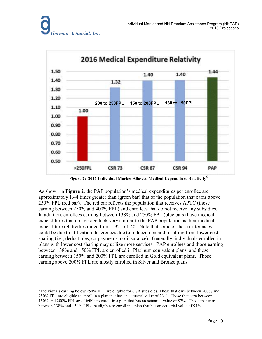

**Figure 2: 2016 Individual Market Allowed Medical Expenditure Relativity** 

As shown in **Figure 2**, the PAP population's medical expenditures per enrollee are approximately 1.44 times greater than (green bar) that of the population that earns above 250% FPL (red bar). The red bar reflects the population that receives APTC (those earning between 250% and 400% FPL) and enrollees that do not receive any subsidies. In addition, enrollees earning between 138% and 250% FPL (blue bars) have medical expenditures that on average look very similar to the PAP population as their medical expenditure relativities range from 1.32 to 1.40. Note that some of these differences could be due to utilization differences due to induced demand resulting from lower cost sharing (i.e., deductibles, co-payments, co-insurance). Generally, individuals enrolled in plans with lower cost sharing may utilize more services. PAP enrollees and those earning between 138% and 150% FPL are enrolled in Platinum equivalent plans, and those earning between 150% and 200% FPL are enrolled in Gold equivalent plans. Those earning above 200% FPL are mostly enrolled in Silver and Bronze plans.

<sup>&</sup>lt;u>.</u> <sup>5</sup> Individuals earning below 250% FPL are eligible for CSR subsidies. Those that earn between 200% and 250% FPL are eligible to enroll in a plan that has an actuarial value of 73%. Those that earn between 150% and 200% FPL are eligible to enroll in a plan that has an actuarial value of 87%. Those that earn between 138% and 150% FPL are eligible to enroll in a plan that has an actuarial value of 94%.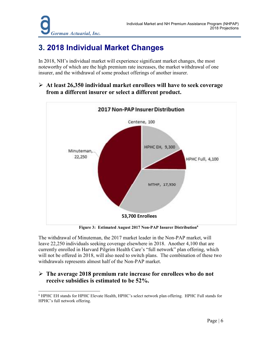## **3. 2018 Individual Market Changes**

In 2018, NH's individual market will experience significant market changes, the most noteworthy of which are the high premium rate increases, the market withdrawal of one insurer, and the withdrawal of some product offerings of another insurer.

 **At least 26,350 individual market enrollees will have to seek coverage from a different insurer or select a different product.** 



**Figure 3: Estimated August 2017 Non-PAP Insurer Distribution<sup>6</sup>**

The withdrawal of Minuteman, the 2017 market leader in the Non-PAP market, will leave 22,250 individuals seeking coverage elsewhere in 2018. Another 4,100 that are currently enrolled in Harvard Pilgrim Health Care's "full network" plan offering, which will not be offered in 2018, will also need to switch plans. The combination of these two withdrawals represents almost half of the Non-PAP market.

### **The average 2018 premium rate increase for enrollees who do not receive subsidies is estimated to be 52%.**

<sup>&</sup>lt;u>.</u> 6 HPHC EH stands for HPHC Elevate Health, HPHC's select network plan offering. HPHC Full stands for HPHC's full network offering.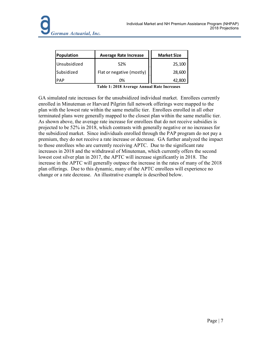| Population   | <b>Average Rate Increase</b> | <b>Market Size</b> |
|--------------|------------------------------|--------------------|
| Unsubsidized | 52%                          | 25,100             |
| Subsidized   | Flat or negative (mostly)    | 28,600             |
| <b>PAP</b>   | 0%                           | 42.800             |

**Table 1: 2018 Average Annual Rate Increases**

GA simulated rate increases for the unsubsidized individual market. Enrollees currently enrolled in Minuteman or Harvard Pilgrim full network offerings were mapped to the plan with the lowest rate within the same metallic tier. Enrollees enrolled in all other terminated plans were generally mapped to the closest plan within the same metallic tier. As shown above, the average rate increase for enrollees that do not receive subsidies is projected to be 52% in 2018, which contrasts with generally negative or no increases for the subsidized market. Since individuals enrolled through the PAP program do not pay a premium, they do not receive a rate increase or decrease. GA further analyzed the impact to those enrollees who are currently receiving APTC. Due to the significant rate increases in 2018 and the withdrawal of Minuteman, which currently offers the second lowest cost silver plan in 2017, the APTC will increase significantly in 2018. The increase in the APTC will generally outpace the increase in the rates of many of the 2018 plan offerings. Due to this dynamic, many of the APTC enrollees will experience no change or a rate decrease. An illustrative example is described below.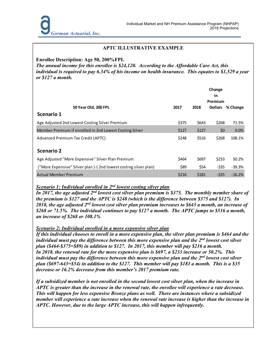#### **APTC ILLUSTRATIVE EXAMPLE**

#### **Enrollee Description: Age 50, 200%FPL**

*The annual income for this enrollee is \$24,120. According to the Affordable Care Act, this individual is required to pay 6.34% of his income on health insurance. This equates to \$1,529 a year or \$127 a month.* 

|                                                                 |       | Change<br>in<br>Premium |                |          |
|-----------------------------------------------------------------|-------|-------------------------|----------------|----------|
| 50 Year Old, 200 FPL                                            | 2017  | 2018                    | <b>Dollars</b> | % Change |
| Scenario 1                                                      |       |                         |                |          |
| Age Adjusted 2nd Lowest Costing Silver Premium                  | \$375 | \$643                   | \$268          | 71.5%    |
| Member Premium if enrolled in 2nd Lowest Costing Silver         | \$127 | \$127                   | \$0            | 0.0%     |
| Advanced Premium Tax Credit (APTC)                              | \$248 | \$516                   | \$268          | 108.1%   |
| <b>Scenario 2</b>                                               |       |                         |                |          |
| Age Adjusted "More Expensive" Silver Plan Premium               | \$464 | \$697                   | \$233          | 50.2%    |
| ("More Expensive" Silver plan)-(2nd lowest costing silver plan) | \$89  | \$54                    | $-$ \$35       | $-39.3%$ |
| Actual Member Premium                                           | \$216 | \$181                   | $-535$         | $-16.2%$ |

#### *Scenario 1: Individual enrolled in 2nd lowest costing silver plan*

*In 2017, the age adjusted 2nd lowest cost silver plan premium is \$375. The monthly member share of the premium is \$127 and the APTC is \$248 (which is the difference between \$375 and \$127). In 2018, the age adjusted 2nd lowest cost silver plan premium increases to \$643 a month, an increase of \$268 or 71.5%. The individual continues to pay \$127 a month. The APTC jumps to \$516 a month, an increase of \$268 or 108.1%* 

#### *Scenario 2: Individual enrolled in a more expensive silver plan*

*If this individual chooses to enroll in a more expensive plan, the silver plan premium is \$464 and the individual must pay the difference between this more expensive plan and the 2nd lowest cost silver plan (\$464-\$375=\$89) in addition to \$127. In 2017, this member will pay \$216 a month. In 2018, the renewal rate for the more expensive plan is \$697, a \$233 increase or 50.2%. This individual must pay the difference between this more expensive plan and the 2nd lowest cost silver plan (\$697-643=\$54) in addition to the \$127. This member will pay \$181 a month. This is a \$35 decrease or 16.2% decrease from this member's 2017 premium rate.* 

*If a subsidized member is not enrolled in the second lowest cost silver plan, when the increase in APTC is greater than the increase in the renewal rate, the enrollee will experience a rate decrease. This will happen for less expensive Bronze plans as well. There are instances where a subsidized member will experience a rate increase when the renewal rate increase is higher than the increase in APTC. However, due to the large APTC increase, this will happen infrequently.*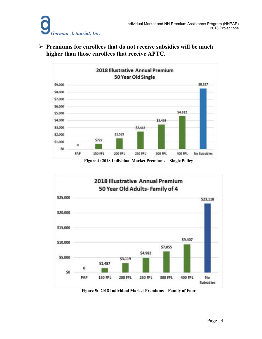**Premiums for enrollees that do not receive subsidies will be much higher than those enrollees that receive APTC.** 



**Figure 4: 2018 Individual Market Premiums – Single Policy** 



**Figure 5: 2018 Individual Market Premiums – Family of Four**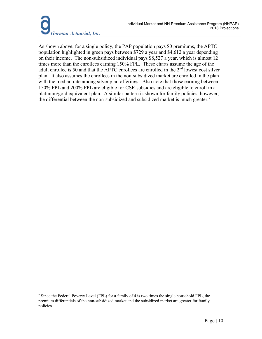As shown above, for a single policy, the PAP population pays \$0 premiums, the APTC population highlighted in green pays between \$729 a year and \$4,612 a year depending on their income. The non-subsidized individual pays \$8,527 a year, which is almost 12 times more than the enrollees earning 150% FPL. These charts assume the age of the adult enrollee is 50 and that the APTC enrollees are enrolled in the  $2<sup>nd</sup>$  lowest cost silver plan. It also assumes the enrollees in the non-subsidized market are enrolled in the plan with the median rate among silver plan offerings. Also note that those earning between 150% FPL and 200% FPL are eligible for CSR subsidies and are eligible to enroll in a platinum/gold equivalent plan. A similar pattern is shown for family policies, however, the differential between the non-subsidized and subsidized market is much greater.<sup>7</sup>

<sup>&</sup>lt;u>.</u> <sup>7</sup> Since the Federal Poverty Level (FPL) for a family of 4 is two times the single household FPL, the premium differentials of the non-subsidized market and the subsidized market are greater for family policies.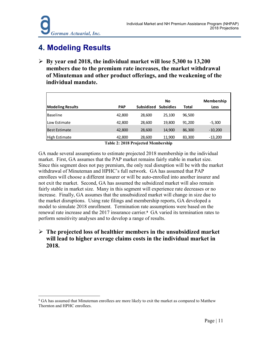<u>.</u>

### **4. Modeling Results**

 **By year end 2018, the individual market will lose 5,300 to 13,200 members due to the premium rate increases, the market withdrawal of Minuteman and other product offerings, and the weakening of the individual mandate.** 

|                         |            |                   | No               |              | <b>Membership</b> |
|-------------------------|------------|-------------------|------------------|--------------|-------------------|
| <b>Modeling Results</b> | <b>PAP</b> | <b>Subsidized</b> | <b>Subsidies</b> | <b>Total</b> | Loss              |
| <b>Baseline</b>         | 42,800     | 28,600            | 25.100           | 96.500       |                   |
| <b>Low Estimate</b>     | 42,800     | 28,600            | 19,800           | 91.200       | $-5,300$          |
| <b>Best Estimate</b>    | 42,800     | 28,600            | 14,900           | 86,300       | $-10,200$         |
| High Estimate           | 42,800     | 28,600            | 11,900           | 83,300       | $-13,200$         |
|                         |            |                   |                  |              |                   |

**Table 2: 2018 Projected Membership** 

GA made several assumptions to estimate projected 2018 membership in the individual market. First, GA assumes that the PAP market remains fairly stable in market size. Since this segment does not pay premium, the only real disruption will be with the market withdrawal of Minuteman and HPHC's full network. GA has assumed that PAP enrollees will choose a different insurer or will be auto-enrolled into another insurer and not exit the market. Second, GA has assumed the subsidized market will also remain fairly stable in market size. Many in this segment will experience rate decreases or no increase. Finally, GA assumes that the unsubsidized market will change in size due to the market disruptions. Using rate filings and membership reports, GA developed a model to simulate 2018 enrollment. Termination rate assumptions were based on the renewal rate increase and the 2017 insurance carrier.**<sup>8</sup>** GA varied its termination rates to perform sensitivity analyses and to develop a range of results.

### **The projected loss of healthier members in the unsubsidized market will lead to higher average claims costs in the individual market in 2018.**

<sup>&</sup>lt;sup>8</sup> GA has assumed that Minuteman enrollees are more likely to exit the market as compared to Matthew Thornton and HPHC enrollees.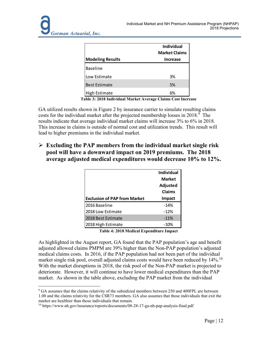| <b>Modeling Results</b> | <b>Individual</b><br><b>Market Claims</b><br>Increase |
|-------------------------|-------------------------------------------------------|
| <b>Baseline</b>         |                                                       |
| Low Estimate            | 3%                                                    |
| <b>Best Estimate</b>    | 5%                                                    |
| <b>High Estimate</b>    | 6%                                                    |

**Table 3: 2018 Individual Market Average Claims Cost Increase** 

GA utilized results shown in Figure 2 by insurance carrier to simulate resulting claims costs for the individual market after the projected membership losses in  $2018$ .<sup>9</sup> The results indicate that average individual market claims will increase 3% to 6% in 2018. This increase in claims is outside of normal cost and utilization trends. This result will lead to higher premiums in the individual market.

 **Excluding the PAP members from the individual market single risk pool will have a downward impact on 2019 premiums. The 2018 average adjusted medical expenditures would decrease 10% to 12%.** 

|                                     | <b>Individual</b> |
|-------------------------------------|-------------------|
|                                     | <b>Market</b>     |
|                                     | <b>Adjusted</b>   |
|                                     | Claims            |
| <b>Exclusion of PAP from Market</b> | <b>Impact</b>     |
| 2016 Baseline                       | $-14%$            |
| 2018 Low Estimate                   | $-12%$            |
| 2018 Best Estimate                  | $-11%$            |
| 2018 High Estimate                  | -10%              |

**Table 4: 2018 Medical Expenditure Impact** 

As highlighted in the August report, GA found that the PAP population's age and benefit adjusted allowed claims PMPM are 39% higher than the Non-PAP population's adjusted medical claims costs. In 2016, if the PAP population had not been part of the individual market single risk pool, overall adjusted claims costs would have been reduced by  $14\%$ .<sup>10</sup> With the market disruptions in 2018, the risk pool of the Non-PAP market is projected to deteriorate. However, it will continue to have lower medical expenditures than the PAP market. As shown in the table above, excluding the PAP market from the individual

<sup>&</sup>lt;u>.</u> <sup>9</sup> GA assumes that the claims relativity of the subsidized members between 250 and 400FPL are between 1.00 and the claims relativity for the CSR73 members. GA also assumes that those individuals that exit the market are healthier than those individuals that remain.

<sup>10</sup> https://www.nh.gov/insurance/reports/documents/08-28-17-ga-nh-pap-analysis-final.pdf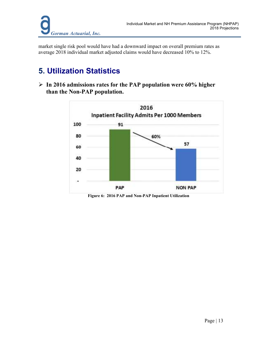market single risk pool would have had a downward impact on overall premium rates as average 2018 individual market adjusted claims would have decreased 10% to 12%.

## **5. Utilization Statistics**

 **In 2016 admissions rates for the PAP population were 60% higher than the Non-PAP population.** 



**Figure 6: 2016 PAP and Non-PAP Inpatient Utilization**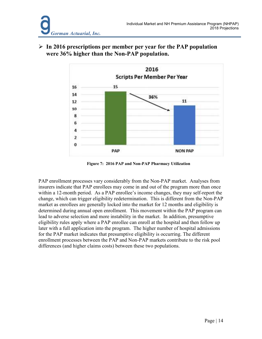

 **In 2016 prescriptions per member per year for the PAP population were 36% higher than the Non-PAP population.** 

**Figure 7: 2016 PAP and Non-PAP Pharmacy Utilization** 

PAP enrollment processes vary considerably from the Non-PAP market. Analyses from insurers indicate that PAP enrollees may come in and out of the program more than once within a 12-month period. As a PAP enrollee's income changes, they may self-report the change, which can trigger eligibility redetermination. This is different from the Non-PAP market as enrollees are generally locked into the market for 12 months and eligibility is determined during annual open enrollment. This movement within the PAP program can lead to adverse selection and more instability in the market. In addition, presumptive eligibility rules apply where a PAP enrollee can enroll at the hospital and then follow up later with a full application into the program. The higher number of hospital admissions for the PAP market indicates that presumptive eligibility is occurring. The different enrollment processes between the PAP and Non-PAP markets contribute to the risk pool differences (and higher claims costs) between these two populations.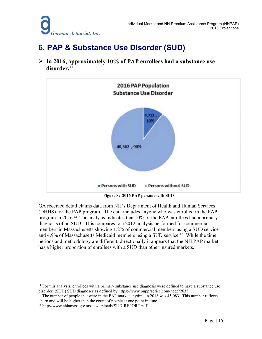### **6. PAP & Substance Use Disorder (SUD)**

 **In 2016, approximately 10% of PAP enrollees had a substance use disorder.<sup>11</sup>**



**Figure 8: 2016 PAP persons with SUD** 

GA received detail claims data from NH's Department of Health and Human Services (DHHS) for the PAP program. The data includes anyone who was enrolled in the PAP program in 2016.12 The analysis indicates that 10% of the PAP enrollees had a primary diagnosis of an SUD. This compares to a 2012 analysis performed for commercial members in Massachusetts showing 1.2% of commercial members using a SUD service and 4.9% of Massachusetts Medicaid members using a SUD service.<sup>13</sup> While the time periods and methodology are different, directionally it appears that the NH PAP market has a higher proportion of enrollees with a SUD than other insured markets.

 $12$  The number of people that were in the PAP market anytime in 2016 was 45,083. This number reflects churn and will be higher than the count of people at one point in time.

-

 $11$  For this analysis, enrollees with a primary substance use diagnosis were defined to have a substance use disorder. (SUD) SUD diagnoses as defined by https://www.buppractice.com/node/2633.

<sup>13</sup> http://www.chiamass.gov/assets/Uploads/SUD-REPORT.pdf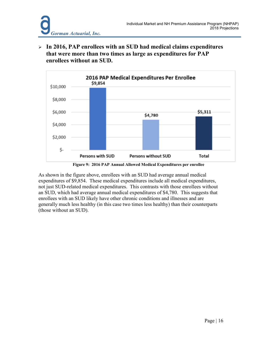**In 2016, PAP enrollees with an SUD had medical claims expenditures that were more than two times as large as expenditures for PAP enrollees without an SUD.**



**Figure 9: 2016 PAP Annual Allowed Medical Expenditures per enrollee** 

As shown in the figure above, enrollees with an SUD had average annual medical expenditures of \$9,854. These medical expenditures include all medical expenditures, not just SUD-related medical expenditures. This contrasts with those enrollees without an SUD, which had average annual medical expenditures of \$4,780. This suggests that enrollees with an SUD likely have other chronic conditions and illnesses and are generally much less healthy (in this case two times less healthy) than their counterparts (those without an SUD).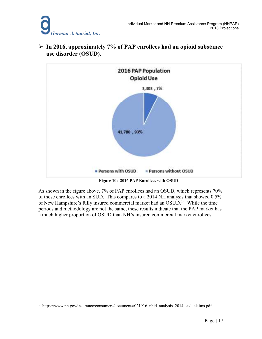

 **In 2016, approximately 7% of PAP enrollees had an opioid substance use disorder (OSUD).** 

**Figure 10: 2016 PAP Enrollees with OSUD** 

As shown in the figure above, 7% of PAP enrollees had an OSUD, which represents 70% of those enrollees with an SUD. This compares to a 2014 NH analysis that showed 0.5% of New Hampshire's fully insured commercial market had an OSUD.<sup>14</sup> While the time periods and methodology are not the same, these results indicate that the PAP market has a much higher proportion of OSUD than NH's insured commercial market enrollees.

<sup>&</sup>lt;u>.</u> <sup>14</sup> https://www.nh.gov/insurance/consumers/documents/021916\_nhid\_analysis\_2014\_sud\_claims.pdf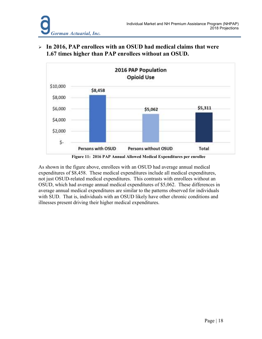



 **In 2016, PAP enrollees with an OSUD had medical claims that were 1.67 times higher than PAP enrollees without an OSUD.**



As shown in the figure above, enrollees with an OSUD had average annual medical expenditures of \$8,458. These medical expenditures include all medical expenditures, not just OSUD-related medical expenditures. This contrasts with enrollees without an OSUD, which had average annual medical expenditures of \$5,062. These differences in average annual medical expenditures are similar to the patterns observed for individuals with SUD. That is, individuals with an OSUD likely have other chronic conditions and illnesses present driving their higher medical expenditures.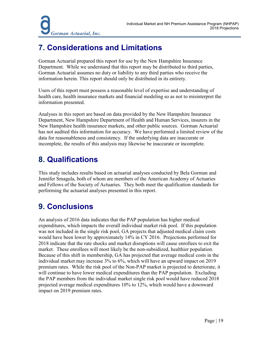## **7. Considerations and Limitations**

Gorman Actuarial prepared this report for use by the New Hampshire Insurance Department. While we understand that this report may be distributed to third parties, Gorman Actuarial assumes no duty or liability to any third parties who receive the information herein. This report should only be distributed in its entirety.

Users of this report must possess a reasonable level of expertise and understanding of health care, health insurance markets and financial modeling so as not to misinterpret the information presented.

Analyses in this report are based on data provided by the New Hampshire Insurance Department, New Hampshire Department of Health and Human Services, insurers in the New Hampshire health insurance markets, and other public sources. Gorman Actuarial has not audited this information for accuracy. We have performed a limited review of the data for reasonableness and consistency. If the underlying data are inaccurate or incomplete, the results of this analysis may likewise be inaccurate or incomplete.

### **8. Qualifications**

This study includes results based on actuarial analyses conducted by Bela Gorman and Jennifer Smagula, both of whom are members of the American Academy of Actuaries and Fellows of the Society of Actuaries. They both meet the qualification standards for performing the actuarial analyses presented in this report.

## **9. Conclusions**

An analysis of 2016 data indicates that the PAP population has higher medical expenditures, which impacts the overall individual market risk pool. If this population was not included in the single risk pool, GA projects that adjusted medical claim costs would have been lower by approximately 14% in CY 2016. Projections performed for 2018 indicate that the rate shocks and market disruptions will cause enrollees to exit the market. These enrollees will most likely be the non-subsidized, healthier population. Because of this shift in membership, GA has projected that average medical costs in the individual market may increase 3% to 6%, which will have an upward impact on 2019 premium rates. While the risk pool of the Non-PAP market is projected to deteriorate, it will continue to have lower medical expenditures than the PAP population. Excluding the PAP members from the individual market single risk pool would have reduced 2018 projected average medical expenditures 10% to 12%, which would have a downward impact on 2019 premium rates.